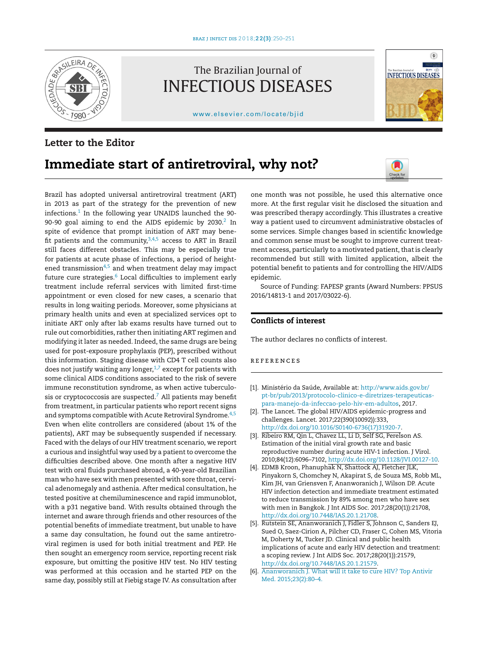

The Brazilian Journal of INFECTIOUS DISEASES

[www.elsevier.com/locate/bjid](http://www.elsevier.com/locate/bjid)



## **Letter to the Editor**

## **Immediate start of antiretroviral, why not?**



Brazil has adopted universal antiretroviral treatment (ART) in 2013 as part of the strategy for the prevention of new infections. $1$  In the following year UNAIDS launched the 90-90-90 goal aiming to end the AIDS epidemic by  $2030.<sup>2</sup>$  In spite of evidence that prompt initiation of ART may benefit patients and the community,  $3,4,5$  access to ART in Brazil still faces different obstacles. This may be especially true for patients at acute phase of infections, a period of heightened transmission $4,5$  and when treatment delay may impact future cure strategies.<sup>6</sup> Local difficulties to implement early treatment include referral services with limited first-time appointment or even closed for new cases, a scenario that results in long waiting periods. Moreover, some physicians at primary health units and even at specialized services opt to initiate ART only after lab exams results have turned out to rule out comorbidities, rather then initiating ART regimen and modifying it later as needed. Indeed, the same drugs are being used for post-exposure prophylaxis (PEP), prescribed without this information. Staging disease with CD4 T cell counts also does not justify waiting any longer, $1,7$  except for patients with some clinical AIDS conditions associated to the risk of severe immune reconstitution syndrome, as when active tuberculosis or cryptococcosis are suspected.<sup>7</sup> All patients may benefit from treatment, in particular patients who report recent signs and symptoms compatible with Acute Retroviral Syndrome.<sup>4,5</sup> Even when elite controllers are considered (about 1% of the patients), ART may be subsequently suspended if necessary. Faced with the delays of our HIV treatment scenario, we report a curious and insightful way used by a patient to overcome the difficulties described above. One month after a negative HIV test with oral fluids purchased abroad, a 40-year-old Brazilian man who have sex with men presented with sore throat, cervical adenomegaly and asthenia. After medical consultation, he tested positive at chemiluminescence and rapid immunoblot, with a p31 negative band. With results obtained through the internet and aware through friends and other resources of the potential benefits of immediate treatment, but unable to have a same day consultation, he found out the same antiretroviral regimen is used for both initial treatment and PEP. He then sought an emergency room service, reporting recent risk exposure, but omitting the positive HIV test. No HIV testing was performed at this occasion and he started PEP on the same day, possibly still at Fiebig stage IV. As consultation after

one month was not possible, he used this alternative once more. At the first regular visit he disclosed the situation and was prescribed therapy accordingly. This illustrates a creative way a patient used to circumvent administrative obstacles of some services. Simple changes based in scientific knowledge and common sense must be sought to improve current treatment access, particularly to a motivated patient, that is clearly recommended but still with limited application, albeit the potential benefit to patients and for controlling the HIV/AIDS epidemic.

Source of Funding: FAPESP grants (Award Numbers: PPSUS 2016/14813-1 and 2017/03022-6).

## **Conflicts of interest**

The author declares no conflicts of interest.

## r e f e r enc e s

- [1]. Ministério da Saúde, Available at: [http://www.aids.gov.br/](http://www.aids.gov.br/pt-br/pub/2013/protocolo-clinico-e-diretrizes-terapeuticas-para-manejo-da-infeccao-pelo-hiv-em-adultos) [pt-br/pub/2013/protocolo-clinico-e-diretrizes-terapeuticas](http://www.aids.gov.br/pt-br/pub/2013/protocolo-clinico-e-diretrizes-terapeuticas-para-manejo-da-infeccao-pelo-hiv-em-adultos)[para-manejo-da-infeccao-pelo-hiv-em-adultos,](http://www.aids.gov.br/pt-br/pub/2013/protocolo-clinico-e-diretrizes-terapeuticas-para-manejo-da-infeccao-pelo-hiv-em-adultos) 2017.
- [2]. The Lancet. The global HIV/AIDS epidemic-progress and challenges. Lancet. 2017;22(390(10092)):333, [http://dx.doi.org/10.1016/S0140-6736\(17\)31920-7](dx.doi.org/10.1016/S0140-6736(17)31920-7).
- [3]. Ribeiro RM, Qin L, Chavez LL, Li D, Self SG, Perelson AS. Estimation of the initial viral growth rate and basic reproductive number during acute HIV-1 infection. J Virol. 2010;84(12):6096–7102, [http://dx.doi.org/10.1128/JVI.00127-10](dx.doi.org/10.1128/JVI.00127-10).
- [4]. EDMB Kroon, Phanuphak N, Shattock AJ, Fletcher JLK, Pinyakorn S, Chomchey N, Akapirat S, de Souza MS, Robb ML, Kim JH, van Griensven F, Ananworanich J, Wilson DP. Acute HIV infection detection and immediate treatment estimated to reduce transmission by 89% among men who have sex with men in Bangkok. J Int AIDS Soc. 2017;28(20(1)):21708, [http://dx.doi.org/10.7448/IAS.20.1.21708](dx.doi.org/10.7448/IAS.20.1.21708).
- [5]. Rutstein SE, Ananworanich J, Fidler S, Johnson C, Sanders EJ, Sued O, Saez-Cirion A, Pilcher CD, Fraser C, Cohen MS, Vitoria M, Doherty M, Tucker JD. Clinical and public health implications of acute and early HIV detection and treatment: a scoping review. J Int AIDS Soc. 2017;28(20(1)):21579, [http://dx.doi.org/10.7448/IAS.20.1.21579](dx.doi.org/10.7448/IAS.20.1.21579).
- [6]. [Ananworanich](http://refhub.elsevier.com/S1413-8670(18)30214-9/sbref0030) [J.](http://refhub.elsevier.com/S1413-8670(18)30214-9/sbref0030) [What](http://refhub.elsevier.com/S1413-8670(18)30214-9/sbref0030) [will](http://refhub.elsevier.com/S1413-8670(18)30214-9/sbref0030) [it](http://refhub.elsevier.com/S1413-8670(18)30214-9/sbref0030) [take](http://refhub.elsevier.com/S1413-8670(18)30214-9/sbref0030) [to](http://refhub.elsevier.com/S1413-8670(18)30214-9/sbref0030) [cure](http://refhub.elsevier.com/S1413-8670(18)30214-9/sbref0030) [HIV?](http://refhub.elsevier.com/S1413-8670(18)30214-9/sbref0030) [Top](http://refhub.elsevier.com/S1413-8670(18)30214-9/sbref0030) [Antivir](http://refhub.elsevier.com/S1413-8670(18)30214-9/sbref0030) [Med.](http://refhub.elsevier.com/S1413-8670(18)30214-9/sbref0030) [2015;23\(2\):80–4.](http://refhub.elsevier.com/S1413-8670(18)30214-9/sbref0030)